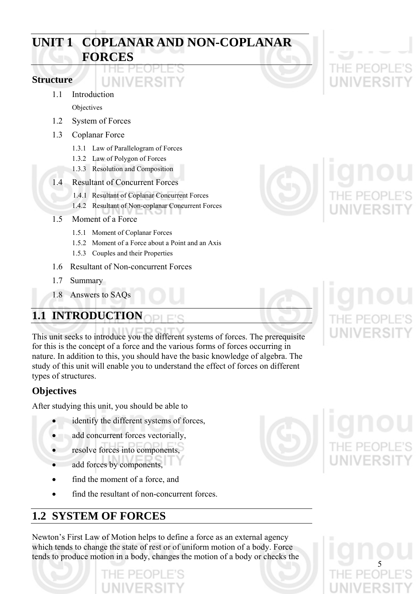# **UNIT 1 COPLANAR AND NON-COPLANAR FORCES**

# **Structure**

- 1.1 Introduction
	- Objectives
- 1.2 System of Forces
- 1.3 Coplanar Force
	- 1.3.1 Law of Parallelogram of Forces

LINIVERSI

- 1.3.2 Law of Polygon of Forces
- 1.3.3 Resolution and Composition
- 1.4 Resultant of Concurrent Forces
	- 1.4.1 Resultant of Coplanar Concurrent Forces
	- 1.4.2 Resultant of Non-coplanar Concurrent Forces
- 1.5 Moment of a Force
	- 1.5.1 Moment of Coplanar Forces
	- 1.5.2 Moment of a Force about a Point and an Axis
	- 1.5.3 Couples and their Properties
- 1.6 Resultant of Non-concurrent Forces
- 1.7 Summary
- 1.8 Answers to SAQs

# **1.1 INTRODUCTION**

This unit seeks to introduce you the different systems of forces. The prerequisite for this is the concept of a force and the various forms of forces occurring in nature. In addition to this, you should have the basic knowledge of algebra. The study of this unit will enable you to understand the effect of forces on different types of structures.

# **Objectives**

After studying this unit, you should be able to

- identify the different systems of forces,
- add concurrent forces vectorially,
- resolve forces into components,
- add forces by components,
- find the moment of a force, and
- find the resultant of non-concurrent forces.

# **1.2 SYSTEM OF FORCES**

Newton's First Law of Motion helps to define a force as an external agency which tends to change the state of rest or of uniform motion of a body. Force tends to produce motion in a body, changes the motion of a body or checks the





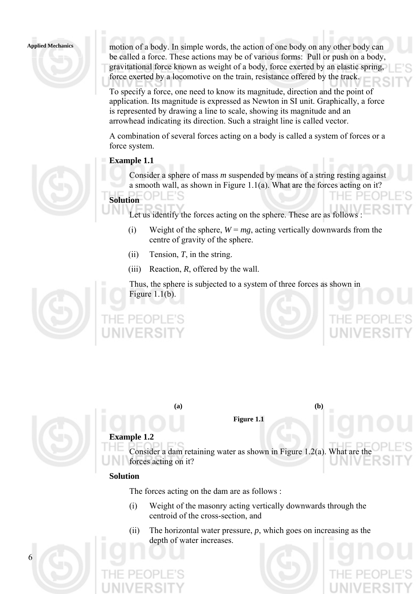**Applied Mechanics** motion of a body. In simple words, the action of one body on any other body can be called a force. These actions may be of various forms: Pull or push on a body, gravitational force known as weight of a body, force exerted by an elastic spring, force exerted by a locomotive on the train, resistance offered by the track.

> To specify a force, one need to know its magnitude, direction and the point of application. Its magnitude is expressed as Newton in SI unit. Graphically, a force is represented by drawing a line to scale, showing its magnitude and an arrowhead indicating its direction. Such a straight line is called vector.

> A combination of several forces acting on a body is called a system of forces or a force system.

### **Example 1.1**

Consider a sphere of mass *m* suspended by means of a string resting against a smooth wall, as shown in Figure 1.1(a). What are the forces acting on it?

# **Solution**

Let us identify the forces acting on the sphere. These are as follows

- (i) Weight of the sphere,  $W = mg$ , acting vertically downwards from the centre of gravity of the sphere.
- (ii) Tension, *T*, in the string.
- (iii) Reaction, *R*, offered by the wall.

Thus, the sphere is subjected to a system of three forces as shown in Figure  $1.1(b)$ .



|                   | <b>ALL SERVICE</b> |  |
|-------------------|--------------------|--|
| THE PEOPLE'S      |                    |  |
| <b>UNIVERSITY</b> |                    |  |



6

**Figure 1.1** 

**(a) (b)** 

# **Example 1.2**

Consider a dam retaining water as shown in Figure 1.2(a). What are the forces acting on it?

# **Solution**

The forces acting on the dam are as follows :

- (i) Weight of the masonry acting vertically downwards through the centroid of the cross-section, and
- (ii) The horizontal water pressure, *p*, which goes on increasing as the depth of water increases.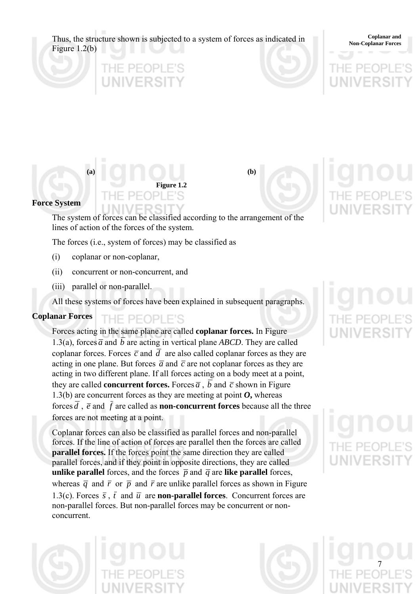Thus, the structure shown is subjected to a system of forces as indicated in **Non-Coplanar Forces** Figure 1.2(b)

**Coplanar and** 



**(a) (b)** 

### **Force System**

The system of forces can be classified according to the arrangement of the lines of action of the forces of the system.

**Figure 1.2** 

The forces (i.e., system of forces) may be classified as

- (i) coplanar or non-coplanar,
- (ii) concurrent or non-concurrent, and
- (iii) parallel or non-parallel.

All these systems of forces have been explained in subsequent paragraphs.

### **Coplanar Forces**  THE PEOPLE'S

Forces acting in the same plane are called **coplanar forces.** In Figure 1.3(a), forces  $\overline{a}$  and  $\overline{b}$  are acting in vertical plane *ABCD*. They are called coplanar forces. Forces  $\bar{c}$  and  $\bar{d}$  are also called coplanar forces as they are acting in one plane. But forces  $\bar{a}$  and  $\bar{c}$  are not coplanar forces as they are acting in two different plane. If all forces acting on a body meet at a point, they are called **concurrent forces.** Forces  $\overline{a}$ ,  $\overline{b}$  and  $\overline{c}$  shown in Figure 1.3(b) are concurrent forces as they are meeting at point  $\boldsymbol{O}$ , whereas forces  $\overline{d}$ ,  $\overline{e}$  and  $\overline{f}$  are called as **non-concurrent forces** because all the three forces are not meeting at a point.

Coplanar forces can also be classified as parallel forces and non-parallel forces. If the line of action of forces are parallel then the forces are called **parallel forces.** If the forces point the same direction they are called parallel forces, and if they point in opposite directions, they are called **unlike parallel** forces, and the forces  $\overline{p}$  and  $\overline{q}$  are like parallel forces, whereas  $\overline{q}$  and  $\overline{r}$  or  $\overline{p}$  and  $\overline{r}$  are unlike parallel forces as shown in Figure 1.3(c). Forces  $\bar{s}$ ,  $\bar{t}$  and  $\bar{u}$  are **non-parallel forces**. Concurrent forces are non-parallel forces. But non-parallel forces may be concurrent or nonconcurrent.

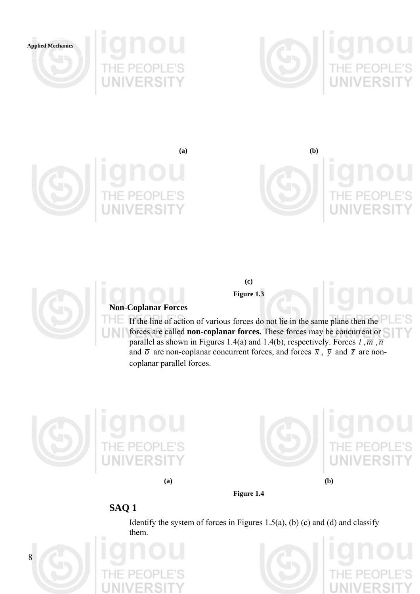







**(a) (b)** 





# **Non-Coplanar Forces**

S If the line of action of various forces do not lie in the same plane then the forces are called **non-coplanar forces.** These forces may be concurrent or parallel as shown in Figures 1.4(a) and 1.4(b), respectively. Forces  $\bar{l}$ ,  $\bar{m}$ ,  $\bar{n}$ and  $\overline{\sigma}$  are non-coplanar concurrent forces, and forces  $\overline{x}$ ,  $\overline{y}$  and  $\overline{z}$  are noncoplanar parallel forces.

**(c) Figure 1.3** 







# **SAQ 1**

Identify the system of forces in Figures 1.5(a), (b) (c) and (d) and classify them.

**Figure 1.4** 





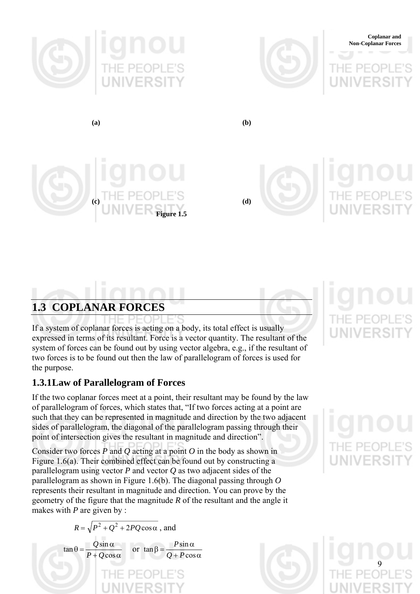





**(a) (b)** 





# **1.3 COPLANAR FORCES**

If a system of coplanar forces is acting on a body, its total effect is usually expressed in terms of its resultant. Force is a vector quantity. The resultant of the system of forces can be found out by using vector algebra, e.g., if the resultant of two forces is to be found out then the law of parallelogram of forces is used for the purpose.

# **1.3.1 Law of Parallelogram of Forces**

If the two coplanar forces meet at a point, their resultant may be found by the law of parallelogram of forces, which states that, "If two forces acting at a point are such that they can be represented in magnitude and direction by the two adjacent sides of parallelogram, the diagonal of the parallelogram passing through their point of intersection gives the resultant in magnitude and direction".

Consider two forces *P* and *Q* acting at a point *O* in the body as shown in Figure 1.6(a). Their combined effect can be found out by constructing a parallelogram using vector *P* and vector *Q* as two adjacent sides of the parallelogram as shown in Figure 1.6(b). The diagonal passing through *O* represents their resultant in magnitude and direction. You can prove by the geometry of the figure that the magnitude *R* of the resultant and the angle it makes with *P* are given by :

$$
R = \sqrt{P^2 + Q^2 + 2PQ\cos\alpha}, \text{ and}
$$

$$
\tan\theta = \frac{Q\sin\alpha}{P + Q\cos\alpha} \quad \text{or } \tan\beta = \frac{P\sin\alpha}{Q + P\cos\alpha}
$$



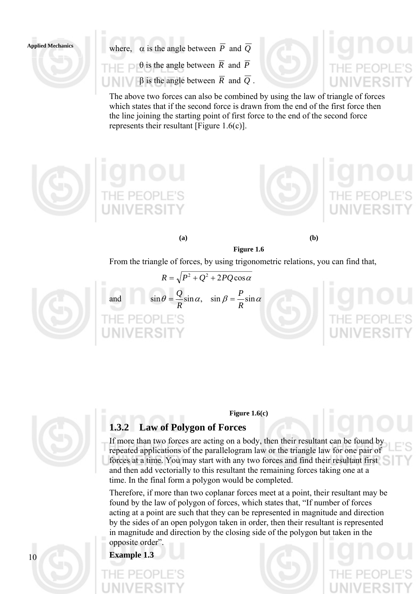Applied Mechanics where,  $\alpha$  is the angle between  $\overline{P}$  and  $\overline{Q}$  $\theta$  is the angle between  $\overline{R}$  and  $\overline{P}$ β is the angle between *R* and *Q* .

> The above two forces can also be combined by using the law of triangle of forces which states that if the second force is drawn from the end of the first force then the line joining the starting point of first force to the end of the second force represents their resultant [Figure 1.6(c)].







**(a) (b)** 

From the triangle of forces, by using trigonometric relations, you can find that,

**Figure 1.6** 



and  $\sin \theta = \frac{Q}{R} \sin \alpha$ ,  $\sin \beta = \frac{P}{R} \sin \alpha$ 

 $R = \sqrt{P^2 + Q^2 + 2PQ\cos\alpha}$ 



10

# **Figure 1.6(c)**

# **1.3.2 Law of Polygon of Forces**

If more than two forces are acting on a body, then their resultant can be found by repeated applications of the parallelogram law or the triangle law for one pair of forces at a time. You may start with any two forces and find their resultant first and then add vectorially to this resultant the remaining forces taking one at a time. In the final form a polygon would be completed.

Therefore, if more than two coplanar forces meet at a point, their resultant may be found by the law of polygon of forces, which states that, "If number of forces acting at a point are such that they can be represented in magnitude and direction by the sides of an open polygon taken in order, then their resultant is represented in magnitude and direction by the closing side of the polygon but taken in the opposite order".

**Example 1.3**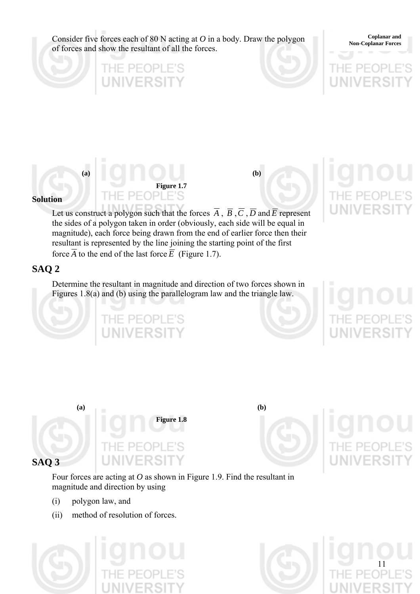Consider five forces each of 80 N acting at  $O$  in a body. Draw the polygon of forces and show the resultant of all the forces.

**Coplanar and <br>Non-Coplanar Forces** 



# **(a) (b) Figure 1.7**  PFOPLE'S

HE PEOPL

FRSIT

# **Solution**

Let us construct a polygon such that the forces  $\overline{A}$ ,  $\overline{B}$ ,  $\overline{C}$ ,  $\overline{D}$  and  $\overline{E}$  represent the sides of a polygon taken in order (obviously, each side will be equal in magnitude), each force being drawn from the end of earlier force then their resultant is represented by the line joining the starting point of the first force  $\overline{A}$  to the end of the last force  $\overline{E}$  (Figure 1.7).

# **SAQ 2**

Determine the resultant in magnitude and direction of two forces shown in Figures 1.8(a) and (b) using the parallelogram law and the triangle law.

PEOPLE'S



Four forces are acting at *O* as shown in Figure 1.9. Find the resultant in magnitude and direction by using

- (i) polygon law, and
- (ii) method of resolution of forces.



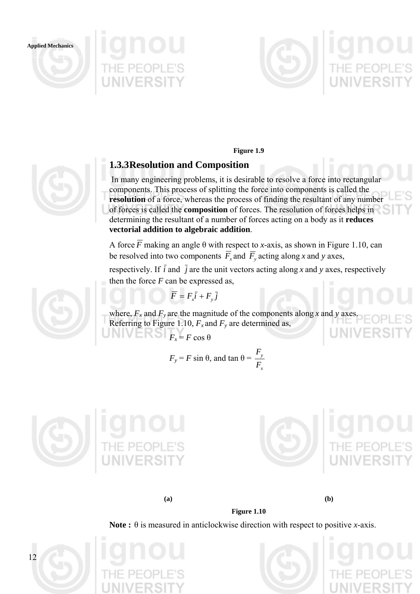**Applied Mechanics** 





**Figure 1.9** 

# **1.3.3 Resolution and Composition**

 In many engineering problems, it is desirable to resolve a force into rectangular components. This process of splitting the force into components is called the **resolution** of a force, whereas the process of finding the resultant of any number of forces is called the **composition** of forces. The resolution of forces helps in determining the resultant of a number of forces acting on a body as it **reduces vectorial addition to algebraic addition**.

A force  $\overline{F}$  making an angle  $\theta$  with respect to *x*-axis, as shown in Figure 1.10, can be resolved into two components  $\overline{F}_x$  and  $\overline{F}_y$  acting along *x* and *y* axes,

respectively. If  $\overline{i}$  and  $\overline{j}$  are the unit vectors acting along *x* and *y* axes, respectively then the force *F* can be expressed as,

$$
\overline{F} = F_x \overline{i} + F_y \overline{j}
$$

where,  $F_x$  and  $F_y$  are the magnitude of the components along x and y axes. Referring to Figure 1.10,  $F_x$  and  $F_y$  are determined as,

$$
F_x = F \cos \theta
$$

$$
F_y = F \sin \theta
$$
, and  $\tan \theta = \frac{F_y}{F_x}$ 







**(a) (b)** 



**Figure 1.10** 









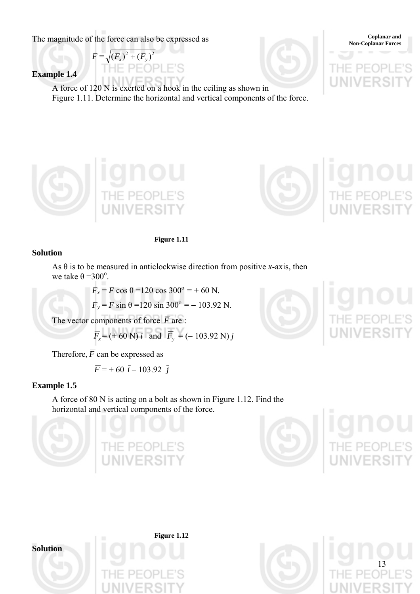The magnitude of the force can also be expressed as

 $F = \sqrt{(F_x)^2 + (F_y)^2}$ וכור

**Example 1.4** 

A force of 120 N is exerted on a hook in the ceiling as shown in Figure 1.11. Determine the horizontal and vertical components of the force.





**Coplanar and<br>
Non-Coplanar Forces** 



# **Solution**

As  $\theta$  is to be measured in anticlockwise direction from positive *x*-axis, then we take  $\theta = 300^\circ$ .

> $F_x = F \cos \theta = 120 \cos 300^\circ = +60 \text{ N}.$  $F_v = F \sin \theta = 120 \sin 300^\circ = -103.92 \text{ N}.$

The vector components of force  $\overline{F}$  are :

$$
\overline{F}_x = (+60 \text{ N}) i
$$
 and  $\overline{F}_y = (-103.92 \text{ N}) j$ 

Therefore,  $\overline{F}$  can be expressed as

$$
\overline{F} = +60 \ \overline{i} - 103.92 \ \overline{j}
$$

# **Example 1.5**

A force of 80 N is acting on a bolt as shown in Figure 1.12. Find the horizontal and vertical components of the force.









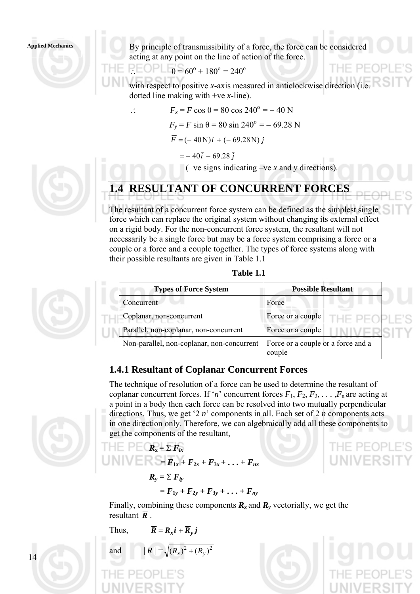### **Applied Mechanics**

By principle of transmissibility of a force, the force can be considered acting at any point on the line of action of the force.

$$
\therefore
$$
  $\Box$   $\Box$   $\Box$   $\Box$   $\Box$   $\Box$   $\Box$   $\Theta$   $= 60^{\circ} + 180^{\circ} = 240^{\circ}$ 

with respect to positive *x*-axis measured in anticlockwise direction (i.e. dotted line making with +ve *x*-line).

(−ve signs indicating –ve *x* and *y* directions).

$$
F_x = F \cos \theta = 80 \cos 240^\circ = -40 \text{ N}
$$
  
\n
$$
F_y = F \sin \theta = 80 \sin 240^\circ = -69.28 \text{ N}
$$
  
\n
$$
\overline{F} = (-40 \text{ N})\overline{i} + (-69.28 \text{ N})\overline{j}
$$
  
\n
$$
= -40\overline{i} - 69.28\overline{j}
$$



# **1.4 RESULTANT OF CONCURRENT FORCES**

The resultant of a concurrent force system can be defined as the simplest single force which can replace the original system without changing its external effect on a rigid body. For the non-concurrent force system, the resultant will not necessarily be a single force but may be a force system comprising a force or a couple or a force and a couple together. The types of force systems along with their possible resultants are given in Table 1.1

| 'able |  |
|-------|--|
|       |  |

| <b>Types of Force System</b>               | <b>Possible Resultant</b>                    |
|--------------------------------------------|----------------------------------------------|
| Concurrent                                 | Force                                        |
| Coplanar, non-concurrent                   | Force or a couple                            |
| Parallel, non-coplanar, non-concurrent     | Force or a couple                            |
| Non-parallel, non-coplanar, non-concurrent | Force or a couple or a force and a<br>couple |

# **1.4.1 Resultant of Coplanar Concurrent Forces**

The technique of resolution of a force can be used to determine the resultant of coplanar concurrent forces. If '*n*' concurrent forces  $F_1, F_2, F_3, \ldots, F_n$  are acting at a point in a body then each force can be resolved into two mutually perpendicular directions. Thus, we get '2 *n*' components in all. Each set of 2 *n* components acts in one direction only. Therefore, we can algebraically add all these components to get the components of the resultant,

 $\boldsymbol{\cdot}$  +  $\boldsymbol{F}_{nr}$ 

**THE PEC**
$$
R_x = \sum F_{ix}
$$
  
\n**UNIV**  
\n
$$
= F_{1x} + F_{2x} + F_{3x} + ... + F_{nx}
$$
\n
$$
R_y = \sum F_{iy}
$$
\n
$$
= F_{1y} + F_{2y} + F_{3y} + ... + F_{ny}
$$

Finally, combining these components  $\mathbf{R}_x$  and  $\mathbf{R}_y$  vectorially, we get the resultant  $\overline{R}$ .

```
Thus, \overline{R} = R_x \overline{i} + \overline{R}_y \overline{j}
```
and  $|R| = \sqrt{(R_x)^2 + (R_y)^2}$ 





14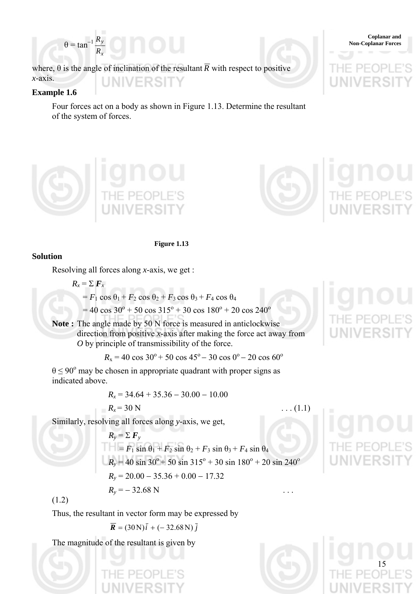

where,  $\theta$  is the angle of inclination of the resultant  $\overline{R}$  with respect to positive *x*-axis. **UNIVERSITY** 

### **Example 1.6**

Four forces act on a body as shown in Figure 1.13. Determine the resultant of the system of forces.





**Figure 1.13** 

# **Solution**

Resolving all forces along *x*-axis, we get :

$$
R_x = \sum F_x
$$
  
=  $F_1 \cos \theta_1 + F_2 \cos \theta_2 + F_3 \cos \theta_3 + F_4 \cos \theta_4$ 

 $= 40 \cos 30^{\circ} + 50 \cos 315^{\circ} + 30 \cos 180^{\circ} + 20 \cos 240^{\circ}$ 

**Note :** The angle made by 50 N force is measured in anticlockwise direction from positive *x*-axis after making the force act away from *O* by principle of transmissibility of the force.

 $R_x = 40 \cos 30^\circ + 50 \cos 45^\circ - 30 \cos 0^\circ - 20 \cos 60^\circ$ 

 $\theta \le 90^\circ$  may be chosen in appropriate quadrant with proper signs as indicated above.

$$
R_x = 34.64 + 35.36 - 30.00 - 10.00
$$
  

$$
R_x = 30 \text{ N}
$$
...(1.1)

Similarly, resolving all forces along *y*-axis, we get,

$$
R_y = \sum F_y
$$
  
=  $F_1 \sin \theta_1 + F_2 \sin \theta_2 + F_3 \sin \theta_3 + F_4 \sin \theta_4$   
 $R_y = 40 \sin 30^\circ + 50 \sin 315^\circ + 30 \sin 180^\circ + 20 \sin 240^\circ$   
 $R_y = 20.00 - 35.36 + 0.00 - 17.32$   
 $R_y = -32.68$  N

(1.2)

Thus, the resultant in vector form may be expressed by

 $\overline{R}$  = (30 N) $\overline{i}$  + (-32.68 N) $\overline{j}$ 

The magnitude of the resultant is given by



15



**Coplanar and <br>Non-Coplanar Forces**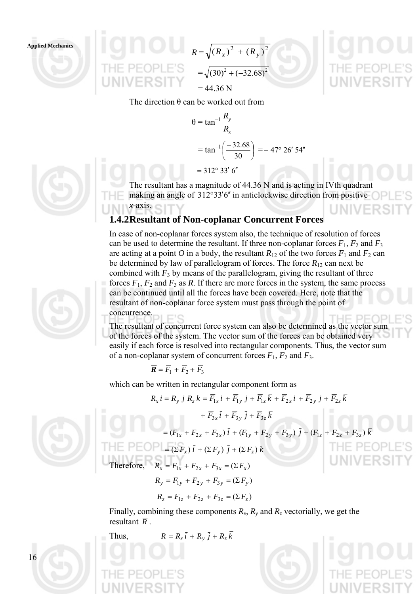**Applied Mechanics** 



The direction  $\theta$  can be worked out from

$$
\theta = \tan^{-1} \frac{R_y}{R_x}
$$
  
=  $\tan^{-1} \left( \frac{-32.68}{30} \right) = -47^{\circ} 26' 54''$   
= 312<sup>°</sup> 33' 6"

The resultant has a magnitude of 44.36 N and is acting in IVth quadrant making an angle of  $312^{\circ}33'6''$  in anticlockwise direction from positive *x*-axis.

# **1.4.2 Resultant of Non-coplanar Concurrent Forces**

In case of non-coplanar forces system also, the technique of resolution of forces can be used to determine the resultant. If three non-coplanar forces  $F_1$ ,  $F_2$  and  $F_3$ are acting at a point *O* in a body, the resultant  $R_{12}$  of the two forces  $F_1$  and  $F_2$  can be determined by law of parallelogram of forces. The force  $R_{12}$  can next be combined with  $F_3$  by means of the parallelogram, giving the resultant of three forces  $F_1$ ,  $F_2$  and  $F_3$  as  $R$ . If there are more forces in the system, the same process can be continued until all the forces have been covered. Here, note that the resultant of non-coplanar force system must pass through the point of concurrence.

The resultant of concurrent force system can also be determined as the vector sum of the forces of the system. The vector sum of the forces can be obtained very easily if each force is resolved into rectangular components. Thus, the vector sum of a non-coplanar system of concurrent forces  $F_1$ ,  $F_2$  and  $F_3$ .

$$
\overline{R} = \overline{F}_1 + \overline{F}_2 + \overline{F}_3
$$

which can be written in rectangular component form as

$$
R_{x} i = R_{y} j R_{z} k = \overline{F}_{1x} \overline{i} + \overline{F}_{1y} \overline{j} + \overline{F}_{1z} \overline{k} + \overline{F}_{2x} \overline{i} + \overline{F}_{2y} \overline{j} + \overline{F}_{2z} \overline{k}
$$



16

 $+\overline{F}_{3x}\overline{i}+\overline{F}_{3y}\overline{j}+\overline{F}_{3z}\overline{k}$  $=( F_{1x} + F_{2x} + F_{3x}) \bar{i} + (F_{1y} + F_{2y} + F_{3y}) \bar{j} + (F_{1z} + F_{2z} + F_{3z})$  $\begin{bmatrix} \mathbb{R} \\ \mathbb{R} \end{bmatrix} = (\Sigma F_x) \bar{i} + (\Sigma F_y) \bar{j} + (\Sigma F_z) \bar{k}$ Therefore,  $R_x = F_{1x} + F_{2x} + F_{3x} = (\Sigma F_x)$  $R_v = F_{1v} + F_{2v} + F_{3v} = (\Sigma F_v)$ 

$$
R_z = F_{1z} + F_{2z} + F_{3z} = (\Sigma F_z)
$$

Finally, combining these components  $R_x$ ,  $R_y$  and  $R_z$  vectorially, we get the resultant  $\overline{R}$ .

Thus,  $\overline{R} = \overline{R}_x \overline{i} + \overline{R}_y \overline{j} + \overline{R}_z \overline{k}$ 





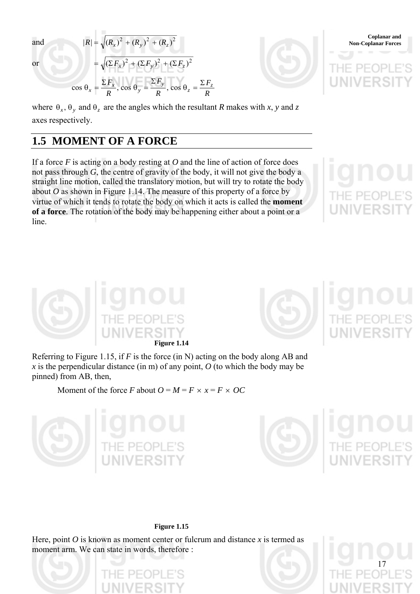and 
$$
|R| = \sqrt{(R_x)^2 + (R_y)^2 + (R_z)^2}
$$
  
\nor 
$$
= \sqrt{(\Sigma F_x)^2 + (\Sigma F_y)^2 + (\Sigma F_z)^2}
$$
\n
$$
\cos \theta_x = \frac{\Sigma F_x}{R}, \cos \theta_y = \frac{\Sigma F_y}{R}, \cos \theta_z = \frac{\Sigma F_z}{R}
$$
\n
$$
\text{UNIVERST}
$$

where  $\theta_x$ ,  $\theta_y$  and  $\theta_z$  are the angles which the resultant *R* makes with *x*, *y* and *z* axes respectively.

# **1.5 MOMENT OF A FORCE**

If a force *F* is acting on a body resting at *O* and the line of action of force does not pass through *G*, the centre of gravity of the body, it will not give the body a straight line motion, called the translatory motion, but will try to rotate the body about  $O$  as shown in Figure 1.14. The measure of this property of a force by virtue of which it tends to rotate the body on which it acts is called the **moment of a force**. The rotation of the body may be happening either about a point or a line.

**Figure 1.14** 

Referring to Figure 1.15, if *F* is the force (in N) acting on the body along AB and *x* is the perpendicular distance (in m) of any point,  $O$  (to which the body may be pinned) from AB, then,

Moment of the force *F* about  $O = M = F \times x = F \times OC$ 





17

### **Figure 1.15**

Here, point *O* is known as moment center or fulcrum and distance *x* is termed as moment arm. We can state in words, therefore :





**Coplanar and <br>Non-Coplanar Forces**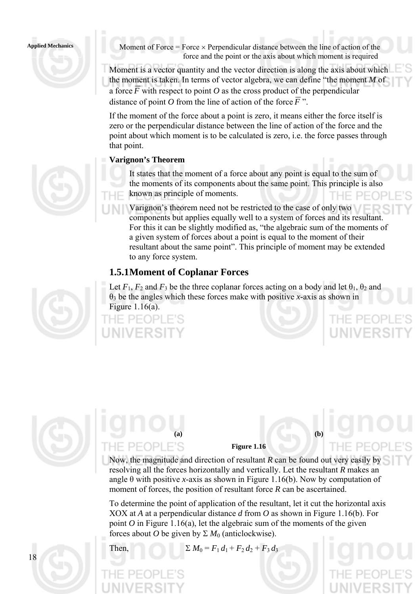

**Applied Mechanics** Moment of Force = Force × Perpendicular distance between the line of action of the force and the point or the axis about which moment is required

> Moment is a vector quantity and the vector direction is along the axis about which the moment is taken. In terms of vector algebra, we can define "the moment *M* of a force  $\overline{F}$  with respect to point O as the cross product of the perpendicular distance of point O from the line of action of the force  $\overline{F}$ ".

If the moment of the force about a point is zero, it means either the force itself is zero or the perpendicular distance between the line of action of the force and the point about which moment is to be calculated is zero, i.e. the force passes through that point.

# **Varignon's Theorem**

It states that the moment of a force about any point is equal to the sum of the moments of its components about the same point. This principle is also known as principle of moments. HF PFOP

Varignon's theorem need not be restricted to the case of only two components but applies equally well to a system of forces and its resultant. For this it can be slightly modified as, "the algebraic sum of the moments of a given system of forces about a point is equal to the moment of their resultant about the same point". This principle of moment may be extended to any force system.

IF PFOP

 $P + QP$ 

# **1.5.1 Moment of Coplanar Forces**

Let  $F_1$ ,  $F_2$  and  $F_3$  be the three coplanar forces acting on a body and let  $\theta_1$ ,  $\theta_2$  and θ3 be the angles which these forces make with positive *x*-axis as shown in Figure 1.16(a).





# **(a) (b)**  PFOPLE'S

**Figure 1.16** 

Now, the magnitude and direction of resultant *R* can be found out very easily by resolving all the forces horizontally and vertically. Let the resultant *R* makes an angle  $\theta$  with positive *x*-axis as shown in Figure 1.16(b). Now by computation of moment of forces, the position of resultant force *R* can be ascertained.

To determine the point of application of the resultant, let it cut the horizontal axis XOX at *A* at a perpendicular distance *d* from *O* as shown in Figure 1.16(b). For point  $O$  in Figure 1.16(a), let the algebraic sum of the moments of the given forces about *O* be given by  $\Sigma M_0$  (anticlockwise).



Then,  $\Sigma M_0 = F_1 d_1 + F_2 d_2 + F_3 d_3$ 

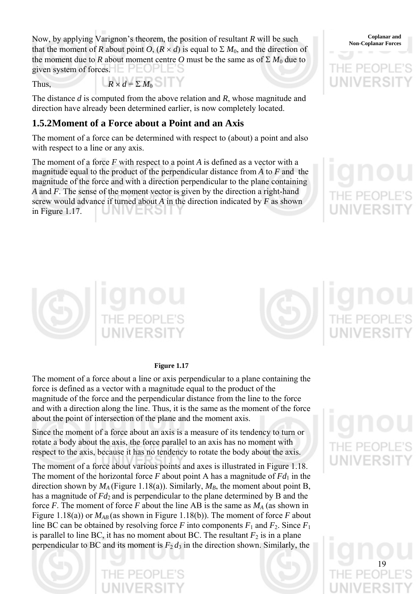Now, by applying Varignon's theorem, the position of resultant *R* will be such non-Coplanar Forces that the moment of *R* about point *O*,  $(R \times d)$  is equal to  $\Sigma M_0$ , and the direction of the moment due to *R* about moment centre *O* must be the same as of  $\Sigma M_0$  due to given system of forces.  $E$  PEOPLES

Thus,  $R \times d = \sum M_0$ 

The distance *d* is computed from the above relation and *R*, whose magnitude and direction have already been determined earlier, is now completely located.

# **1.5.2 Moment of a Force about a Point and an Axis**

The moment of a force can be determined with respect to (about) a point and also with respect to a line or any axis.

The moment of a force *F* with respect to a point *A* is defined as a vector with a magnitude equal to the product of the perpendicular distance from *A* to *F* and the magnitude of the force and with a direction perpendicular to the plane containing *A* and *F*. The sense of the moment vector is given by the direction a right-hand screw would advance if turned about *A* in the direction indicated by *F* as shown in Figure 1.17.









### **Figure 1.17**

The moment of a force about a line or axis perpendicular to a plane containing the force is defined as a vector with a magnitude equal to the product of the magnitude of the force and the perpendicular distance from the line to the force and with a direction along the line. Thus, it is the same as the moment of the force about the point of intersection of the plane and the moment axis.

Since the moment of a force about an axis is a measure of its tendency to turn or rotate a body about the axis, the force parallel to an axis has no moment with respect to the axis, because it has no tendency to rotate the body about the axis.

The moment of a force about various points and axes is illustrated in Figure 1.18. The moment of the horizontal force  $F$  about point A has a magnitude of  $Fd_1$  in the direction shown by  $M_A$  (Figure 1.18(a)). Similarly,  $M_B$ , the moment about point B, has a magnitude of *Fd* 2 and is perpendicular to the plane determined by B and the force *F*. The moment of force *F* about the line AB is the same as  $M_A$  (as shown in Figure 1.18(a)) or  $M_{AB}$  (as shown in Figure 1.18(b)). The moment of force *F* about line BC can be obtained by resolving force *F* into components  $F_1$  and  $F_2$ . Since  $F_1$ is parallel to line BC, it has no moment about BC. The resultant  $F_2$  is in a plane perpendicular to BC and its moment is  $F_2 d_3$  in the direction shown. Similarly, the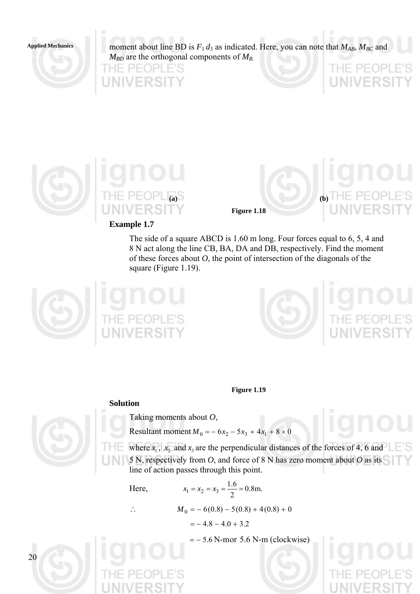**Applied Mechanics** 

moment about line BD is  $F_1 d_3$  as indicated. Here, you can note that  $M_{AB}$ ,  $M_{BC}$  and  $M_{BD}$  are the orthogonal components of  $M_{B}$ .





**Example 1.7** 

**Figure 1.18** 

**(a) (b)** 

THE PE(

DP

The side of a square ABCD is 1.60 m long. Four forces equal to 6, 5, 4 and 8 N act along the line CB, BA, DA and DB, respectively. Find the moment of these forces about *O*, the point of intersection of the diagonals of the square (Figure 1.19).





**Figure 1.19** 

# **Solution**

Taking moments about *O*,

Resultant moment  $M_0 = -6x_2 - 5x_3 + 4x_1 + 8 \times 0$ 

where  $x_1$ ,  $x_2$  and  $x_3$  are the perpendicular distances of the forces of 4, 6 and 5 N, respectively from *O*, and force of 8 N has zero moment about *O* as its line of action passes through this point.

Here,

Here,  
\n
$$
x_1 = x_2 = x_3 = \frac{1.0}{2} = 0.8 \text{m.}
$$
\n
$$
M_0 = -6(0.8) - 5(0.8) + 4(0.8) + 0
$$
\n
$$
= -4.8 - 4.0 + 3.2
$$

 $\overline{16}$ 

 $=$   $-5.6$  N-mor 5.6 N-m (clockwise)

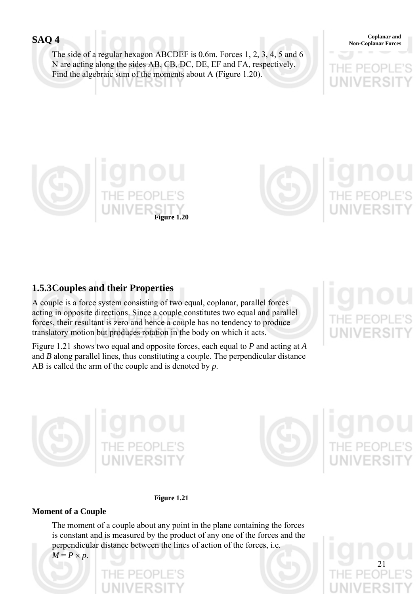The side of a regular hexagon ABCDEF is 0.6m. Forces 1, 2, 3, 4, 5 and 6 N are acting along the sides AB, CB, DC, DE, EF and FA, respectively. Find the algebraic sum of the moments about A (Figure 1.20). ERƏI

**Coplanar and SAQ 4** Coplanar Forces





# **1.5.3 Couples and their Properties**

A couple is a force system consisting of two equal, coplanar, parallel forces acting in opposite directions. Since a couple constitutes two equal and parallel forces, their resultant is zero and hence a couple has no tendency to produce translatory motion but produces rotation in the body on which it acts.

Figure 1.21 shows two equal and opposite forces, each equal to *P* and acting at *A* and *B* along parallel lines, thus constituting a couple. The perpendicular distance AB is called the arm of the couple and is denoted by *p*.





21



# **Moment of a Couple**

The moment of a couple about any point in the plane containing the forces is constant and is measured by the product of any one of the forces and the perpendicular distance between the lines of action of the forces, i.e.

 $M = P \times p$ .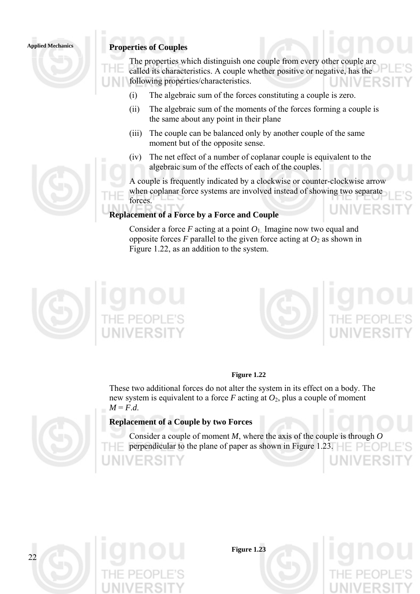# **Applied Mechanics Properties of Couples**

The properties which distinguish one couple from every other couple are called its characteristics. A couple whether positive or negative, has the following properties/characteristics.

- (i) The algebraic sum of the forces constituting a couple is zero.
- (ii) The algebraic sum of the moments of the forces forming a couple is the same about any point in their plane
- (iii) The couple can be balanced only by another couple of the same moment but of the opposite sense.
- (iv) The net effect of a number of coplanar couple is equivalent to the algebraic sum of the effects of each of the couples.

A couple is frequently indicated by a clockwise or counter-clockwise arrow when coplanar force systems are involved instead of showing two separate forces.

### **Replacement of a Force by a Force and Couple**

Consider a force  $F$  acting at a point  $O_1$ . Imagine now two equal and opposite forces *F* parallel to the given force acting at  $O_2$  as shown in Figure 1.22, as an addition to the system.





### **Figure 1.22**

These two additional forces do not alter the system in its effect on a body. The new system is equivalent to a force *F* acting at *O*2, plus a couple of moment  $M = F.d.$ 



### **Replacement of a Couple by two Forces**

- Consider a couple of moment *M*, where the axis of the couple is through *O*
	- perpendicular to the plane of paper as shown in Figure 1.23.



**Figure 1.23**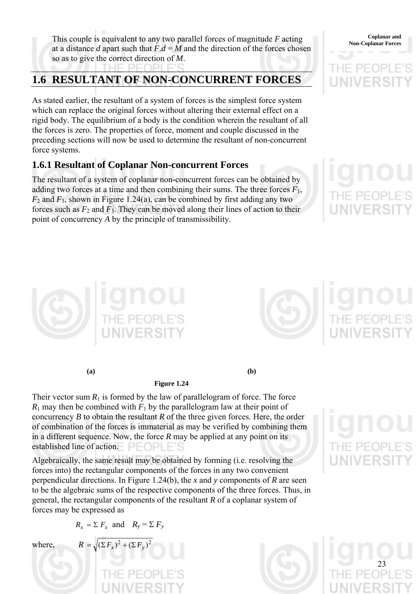This couple is equivalent to any two parallel forces of magnitude *F* acting Coplanar and Non-Coplanar Forces at a distance *d* apart such that  $F.d = M$  and the direction of the forces chosen so as to give the correct direction of *M*.

# **1.6 RESULTANT OF NON-CONCURRENT FORCES**

As stated earlier, the resultant of a system of forces is the simplest force system which can replace the original forces without altering their external effect on a rigid body. The equilibrium of a body is the condition wherein the resultant of all the forces is zero. The properties of force, moment and couple discussed in the preceding sections will now be used to determine the resultant of non-concurrent force systems.

# **1.6.1 Resultant of Coplanar Non-concurrent Forces**

The resultant of a system of coplanar non-concurrent forces can be obtained by adding two forces at a time and then combining their sums. The three forces  $F_1$ ,  $F_2$  and  $F_3$ , shown in Figure 1.24(a), can be combined by first adding any two forces such as  $F_2$  and  $F_3$ . They can be moved along their lines of action to their point of concurrency *A* by the principle of transmissibility.

**Coplanar and** 



**(a) (b)** 

**Figure 1.24** 

Their vector sum  $R_1$  is formed by the law of parallelogram of force. The force  $R_1$  may then be combined with  $F_1$  by the parallelogram law at their point of concurrency *B* to obtain the resultant *R* of the three given forces. Here, the order of combination of the forces is immaterial as may be verified by combining them

in a different sequence. Now, the force *R* may be applied at any point on its established line of action. PEOPLE

Algebraically, the same result may be obtained by forming (i.e. resolving the forces into) the rectangular components of the forces in any two convenient perpendicular directions. In Figure 1.24(b), the *x* and *y* components of *R* are seen to be the algebraic sums of the respective components of the three forces. Thus, in general, the rectangular components of the resultant *R* of a coplanar system of forces may be expressed as

$$
R_x = \sum F_x
$$
 and  $R_y = \sum F_y$ 

where

$$
= \sqrt{\left(\Sigma F_x\right)^2 + \left(\Sigma F_y\right)^2}
$$

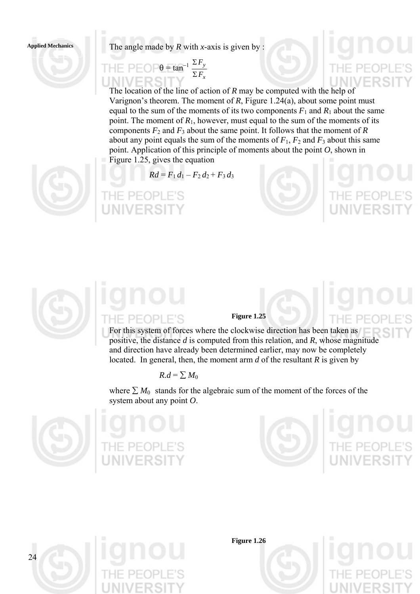

$$
\mathsf{H} \mathsf{E} \mathsf{P} \mathsf{E} \mathsf{O} \mathsf{P} \theta = \tan^{-1} \frac{\Sigma F_y}{\Sigma F_x}
$$

The location of the line of action of *R* may be computed with the help of Varignon's theorem. The moment of *R*, Figure 1.24(a), about some point must equal to the sum of the moments of its two components  $F_1$  and  $R_1$  about the same point. The moment of  $R_1$ , however, must equal to the sum of the moments of its components  $F_2$  and  $F_3$  about the same point. It follows that the moment of  $R$ about any point equals the sum of the moments of  $F_1$ ,  $F_2$  and  $F_3$  about this same point. Application of this principle of moments about the point *O*, shown in Figure 1.25, gives the equation

 $Rd = F_1 d_1 - F_2 d_2 + F_3 d_3$ 





# **PEOPLE'S**

### **Figure 1.25**

For this system of forces where the clockwise direction has been taken as positive, the distance *d* is computed from this relation, and *R*, whose magnitude and direction have already been determined earlier, may now be completely located. In general, then, the moment arm *d* of the resultant *R* is given by

$$
R.d = \sum M_0
$$

where  $\sum M_0$  stands for the algebraic sum of the moment of the forces of the system about any point *O*.







**Figure 1.26** 

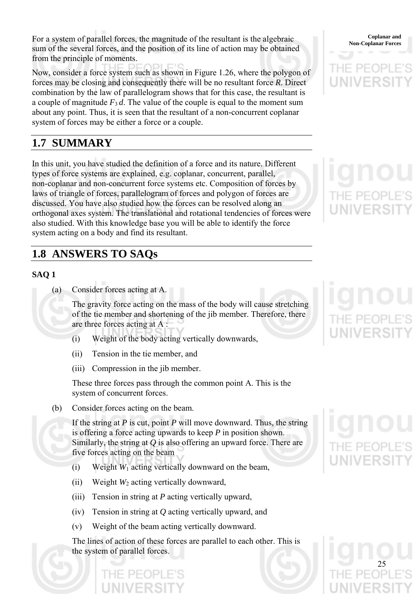For a system of parallel forces, the magnitude of the resultant is the algebraic Coplanar and Coplanar Forces sum of the several forces, and the position of its line of action may be obtained from the principle of moments.

Now, consider a force system such as shown in Figure 1.26, where the polygon of forces may be closing and consequently there will be no resultant force *R*. Direct combination by the law of parallelogram shows that for this case, the resultant is a couple of magnitude  $F_3 d$ . The value of the couple is equal to the moment sum about any point. Thus, it is seen that the resultant of a non-concurrent coplanar system of forces may be either a force or a couple.

# **1.7 SUMMARY**

In this unit, you have studied the definition of a force and its nature. Different types of force systems are explained, e.g. coplanar, concurrent, parallel, non-coplanar and non-concurrent force systems etc. Composition of forces by laws of triangle of forces, parallelogram of forces and polygon of forces are discussed. You have also studied how the forces can be resolved along an orthogonal axes system. The translational and rotational tendencies of forces were also studied. With this knowledge base you will be able to identify the force system acting on a body and find its resultant.

# **1.8 ANSWERS TO SAQs**

# **SAQ 1**

(a) Consider forces acting at A.

The gravity force acting on the mass of the body will cause stretching of the tie member and shortening of the jib member. Therefore, there are three forces acting at A :

- (i) Weight of the body acting vertically downwards,
- (ii) Tension in the tie member, and
- (iii) Compression in the jib member.

These three forces pass through the common point A. This is the system of concurrent forces.

(b) Consider forces acting on the beam.

If the string at *P* is cut, point *P* will move downward. Thus, the string is offering a force acting upwards to keep *P* in position shown. Similarly, the string at *Q* is also offering an upward force. There are five forces acting on the beam

- (i) Weight *W*1 acting vertically downward on the beam,
- (ii) Weight *W*2 acting vertically downward,
- (iii) Tension in string at *P* acting vertically upward,
- (iv) Tension in string at *Q* acting vertically upward, and
- (v) Weight of the beam acting vertically downward.

The lines of action of these forces are parallel to each other. This is the system of parallel forces.

**Coplanar and** 

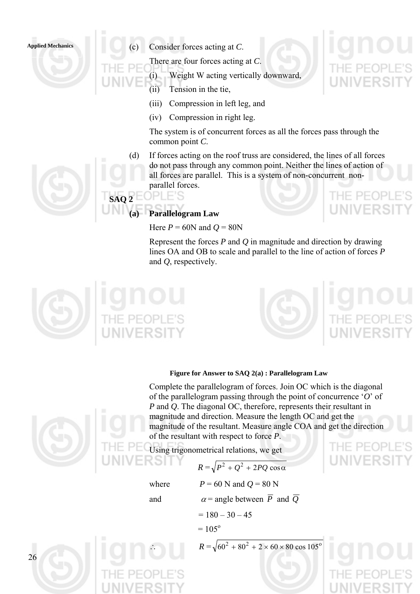

- Applied Mechanics **Applied Mechanics Applied Mechanics Applied Mechanics Applied Mechanics Applied Mechanics Applied Mechanics Applied Mechanics Applied Mechanics Applied Mechanics Applied Mechanics App** 
	- There are four forces acting at *C*.
	- (i) Weight W acting vertically downward,
	- (ii) Tension in the tie,
	- (iii) Compression in left leg, and
	- (iv) Compression in right leg.

The system is of concurrent forces as all the forces pass through the common point *C*.

(d) If forces acting on the roof truss are considered, the lines of all forces do not pass through any common point. Neither the lines of action of all forces are parallel. This is a system of non-concurrent nonparallel forces.



**SAQ 2 Parallelogram Law** 

**PLE'S** 

Here  $P = 60N$  and  $Q = 80N$ 

Represent the forces *P* and *Q* in magnitude and direction by drawing lines OA and OB to scale and parallel to the line of action of forces *P* and *Q*, respectively.





# **Figure for Answer to SAQ 2(a) : Parallelogram Law**



26

Complete the parallelogram of forces. Join OC which is the diagonal of the parallelogram passing through the point of concurrence '*O*' of *P* and *Q*. The diagonal OC, therefore, represents their resultant in magnitude and direction. Measure the length OC and get the magnitude of the resultant. Measure angle COA and get the direction of the resultant with respect to force *P*.

Using trigonometrical relations, we get

$$
R = \sqrt{P^2 + Q^2 + 2PQ\cos\alpha}
$$

$$
K = \sqrt{P} + Q + 2PQ \cos \theta
$$

where  $P = 60$  N and  $Q = 80$  N

and  $\alpha$  = angle between  $\overline{P}$  and  $\overline{Q}$ 

$$
= 180 - 30 - 45
$$

 $= 105^{\circ}$ 

 $R = \sqrt{60^2 + 80^2 + 2 \times 60 \times 80 \cos 105^{\circ}}$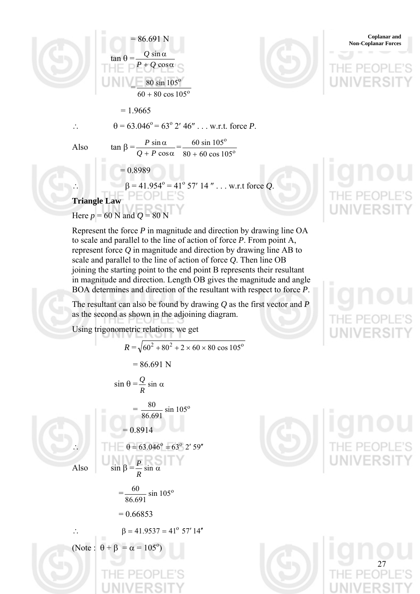

**Non-Coplanar and Solution Section 2.5 Section 2.5 Section 2.5 Section 2.6 Section 2.6 Section 2.6 Section 2.6 Section 2.6 Section 2.6 Section 2.6 Section 2.6 Section 2.6 Section 2.6 Section 2.6 Section 2.6 Section 2.6 Sec** tan  $θ =$  $P + Q \cos \alpha$  $\sin \alpha$ *Q*  $=\frac{60 \text{ }\sin 103}{60 + 80 \text{ }\cos 105^{\circ}}$ 80 sin 105°  $= 1.9665$ ∴  $\theta = 63.046^{\circ} = 63^{\circ}$  2' 46" . . . w.r.t. force *P*. Also  $\tan \beta = + P \cos \alpha$ α cos sin  $\frac{P \sin \alpha}{Q + P \cos \alpha} = \frac{60 \sin 105^{\circ}}{80 + 60 \cos 105^{\circ}}$  $80 + 60 \cos 105$ 60 sin 105 +  $= 0.8989$ ∴  $\beta = 41.954^{\circ} = 41^{\circ} 57' 14''$  . . . w.r.t force *Q*.  **Triangle Law** 



**Coplanar and <br>Non-Coplanar Forces** 

Represent the force *P* in magnitude and direction by drawing line OA to scale and parallel to the line of action of force *P*. From point A, represent force *Q* in magnitude and direction by drawing line AB to scale and parallel to the line of action of force *Q*. Then line OB joining the starting point to the end point B represents their resultant in magnitude and direction. Length OB gives the magnitude and angle BOA determines and direction of the resultant with respect to force *P*.

The resultant can also be found by drawing *Q* as the first vector and *P* as the second as shown in the adjoining diagram.

Using trigonometric relations, we get

Also

Here  $p = 60$  N and  $Q = 80$  N

$$
R = \sqrt{60^2 + 80^2 + 2 \times 60 \times 80 \cos 105^\circ}
$$
  
= 86.691 N  

$$
\sin \theta = \frac{Q}{R} \sin \alpha
$$
  
= 
$$
\frac{80}{86.691} \sin 105^\circ
$$
  
= 0.8914  

$$
\therefore \qquad \theta = 63.046^\circ = 63^\circ \ 2' \ 59''
$$
  
Also 
$$
\sin \beta = \frac{P}{R} \sin \alpha
$$
  
= 
$$
\frac{60}{86.691} \sin 105^\circ
$$
  
= 0.66853  

$$
\therefore \qquad \beta = 41.9537 = 41^\circ \ 57' \ 14''
$$
  
(Note:  $\theta + \beta = \alpha = 105^\circ$ )

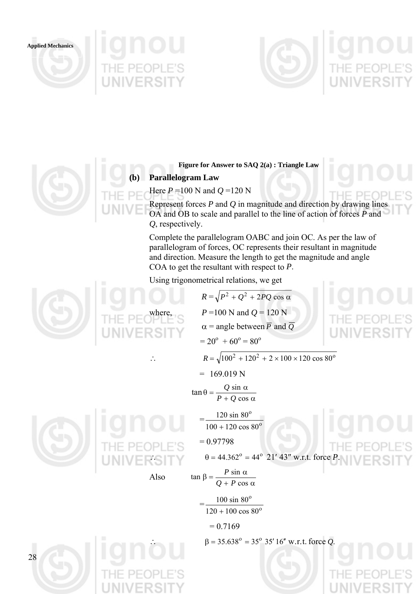**Applied Mechanics** 







**Figure for Answer to SAQ 2(a) : Triangle Law** 

# **(b) Parallelogram Law**

Here *P* =100 N and *Q* =120 N

Represent forces *P* and *Q* in magnitude and direction by drawing lines OA and OB to scale and parallel to the line of action of forces *P* and *Q*, respectively.

Complete the parallelogram OABC and join OC. As per the law of parallelogram of forces, OC represents their resultant in magnitude and direction. Measure the length to get the magnitude and angle COA to get the resultant with respect to *P*.

Using trigonometrical relations, we get

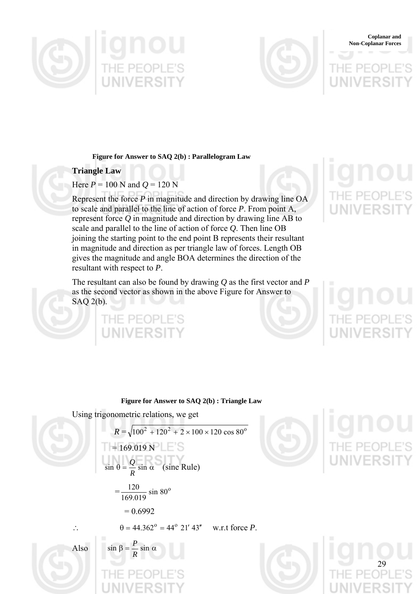



### **Coplanar and Non-Coplanar Forces**

**Figure for Answer to SAQ 2(b) : Parallelogram Law** 

### **Triangle Law**

# Here  $P = 100$  N and  $Q = 120$  N

Represent the force *P* in magnitude and direction by drawing line OA to scale and parallel to the line of action of force *P*. From point A, represent force *Q* in magnitude and direction by drawing line AB to scale and parallel to the line of action of force *Q*. Then line OB joining the starting point to the end point B represents their resultant in magnitude and direction as per triangle law of forces. Length OB gives the magnitude and angle BOA determines the direction of the resultant with respect to *P*.

The resultant can also be found by drawing *Q* as the first vector and *P* as the second vector as shown in the above Figure for Answer to SAQ 2(b).

# HE PEOPLE'S

29

### **Figure for Answer to SAQ 2(b) : Triangle Law**

 $\cos 80^\circ$ 

Using trigonometric relations, we get

$$
R = \sqrt{100^2 + 120^2 + 2 \times 100 \times 120 \cos 80^{\circ}}
$$
  
= 169.019 N  

$$
\sin \theta = \frac{Q}{R} \sin \alpha \text{ (sine Rule)}
$$
  
= 
$$
\frac{120}{169.019} \sin 80^{\circ}
$$
  
= 0.6992  

$$
\therefore \qquad \theta = 44.362^{\circ} = 44^{\circ} 21' 43'' \quad \text{w.r.t force } P.
$$

*P*





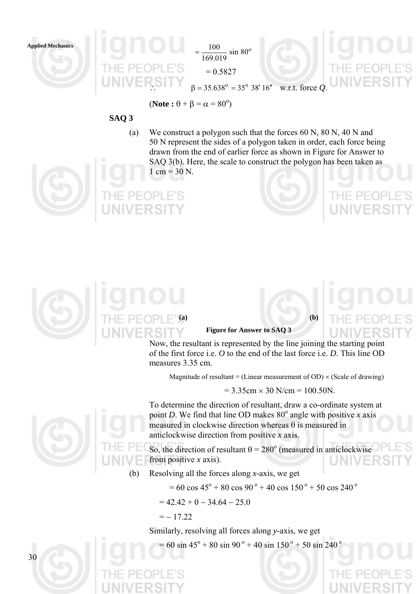

 $=\frac{100}{160.818} \sin 80^\circ$ 169.019  $=\frac{100}{158.8}$  $= 0.5827$ 

 $\beta = 35.638^{\circ} = 35^{\circ}$  38' 16" w.r.t. force *Q*.

 $($ **Note** :  $\theta$  +  $\beta$  =  $\alpha$  = 80<sup>o</sup>)

# **SAQ 3**

(a) We construct a polygon such that the forces 60 N, 80 N, 40 N and 50 N represent the sides of a polygon taken in order, each force being drawn from the end of earlier force as shown in Figure for Answer to SAQ 3(b). Here, the scale to construct the polygon has been taken as  $1 \text{ cm} = 30 \text{ N}$ .





### **Figure for Answer to SAQ 3**

Now, the resultant is represented by the line joining the starting point of the first force i.e. *O* to the end of the last force i.e. *D*. This line OD measures 3.35 cm.

Magnitude of resultant = (Linear measurement of OD)  $\times$  (Scale of drawing)

 $= 3.35$ cm  $\times$  30 N/cm  $= 100.50$ N.

To determine the direction of resultant, draw a co-ordinate system at point *D*. We find that line OD makes  $80^\circ$  angle with positive *x* axis measured in clockwise direction whereas  $\theta$  is measured in

anticlockwise direction from positive *x* axis. So, the direction of resultant  $\theta = 280^\circ$  (measured in anticlockwise from positive *x* axis).

(b) Resolving all the forces along *x*-axis, we get

 $= 60 \cos 45^\circ + 80 \cos 90^\circ + 40 \cos 150^\circ + 50 \cos 240^\circ$ 

$$
= 42.42 + 0 - 34.64 - 25.0
$$

$$
=-17.22
$$

Similarly, resolving all forces along *y*-axis, we get

 $= 60 \sin 45^\circ + 80 \sin 90^\circ + 40 \sin 150^\circ + 50 \sin 240^\circ$ 

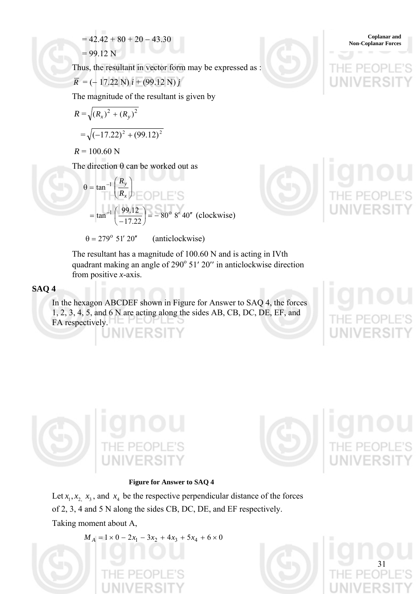$$
= 42.42 + 80 + 20 - 43.30
$$
 Coplanar and  
Non-Coplanar Forces

 $= 99.12 N$ 

Thus, the resultant in vector form may be expressed as :

$$
\overline{R} = (-17.22 \text{ N}) i + (99.12 \text{ N}) j
$$

The magnitude of the resultant is given by

$$
R = \sqrt{(R_x)^2 + (R_y)^2}
$$
  
=  $\sqrt{(-17.22)^2 + (99.12)^2}$ 

 $R = 100.60$  N

The direction  $\theta$  can be worked out as

$$
\theta = \tan^{-1} \left( \frac{R_y}{R_x} \right)
$$
  
=  $\tan^{-1} \left( \frac{99.12}{-17.22} \right) = -80^{\circ} 8' 40''$  (clockwise)

 $\theta$  = 279° 51′ 20″ (anticlockwise)

The resultant has a magnitude of 100.60 N and is acting in IVth quadrant making an angle of 290° 51′ 20″ in anticlockwise direction

from positive *x*-axis.

# **SAQ 4**

In the hexagon ABCDEF shown in Figure for Answer to SAQ 4, the forces 1, 2, 3, 4, 5, and 6 N are acting along the sides AB, CB, DC, DE, EF, and FA respectively. 1 C T







### **Figure for Answer to SAQ 4**

Let  $x_1, x_2, x_3$ , and  $x_4$  be the respective perpendicular distance of the forces of 2, 3, 4 and 5 N along the sides CB, DC, DE, and EF respectively. Taking moment about A,

 $M_A = 1 \times 0 - 2x_1 - 3x_2 + 4x_3 + 5x_4 + 6 \times 0$ 



31

**Coplanar and <br>Non-Coplanar Forces**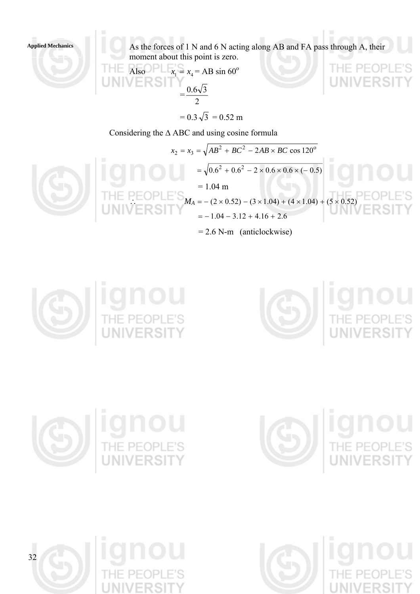**Applied Mechanics** 

As the forces of 1 N and 6 N acting along AB and FA pass through A, their moment about this point is zero.

**THE Also** 
$$
x_1 = x_4 = AB \sin 60^\circ
$$

$$
= \frac{0.6\sqrt{3}}{2}
$$

$$
= 0.3\sqrt{3} = 0.52 \text{ m}
$$

Considering the Δ ABC and using cosine formula

$$
x_2 = x_3 = \sqrt{AB^2 + BC^2 - 2AB \times BC \cos 120^\circ}
$$
  
=  $\sqrt{0.6^2 + 0.6^2 - 2 \times 0.6 \times 0.6 \times (-0.5)}$   
= 1.04 m  
THE PEOPLE's  

$$
M_A = -(2 \times 0.52) - (3 \times 1.04) + (4 \times 1.04) + (5 \times 0.52)
$$
  
= -1.04 - 3.12 + 4.16 + 2.6  
= 2.6 N-m (anticlockwise)





THE







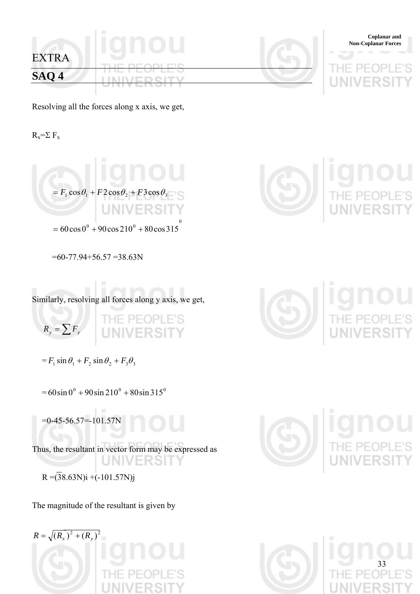

Resolving all the forces along x axis, we get,

 $R_x = \sum F_x$ 

$$
= F_1 \cos \theta_1 + F2 \cos \theta_2 + F3 \cos \theta_3
$$

 $= 60 \cos 0^{\circ} + 90 \cos 210^{\circ} + 80 \cos 315^{\circ}$ 

 $=60-77.94+56.57=38.63N$ 

Similarly, resolving all forces along y axis, we get,

 $R_y = \sum F_y$ 

 $= F_1 \sin \theta_1 + F_2 \sin \theta_2 + F_3 \theta_3$ 

 $= 60 \sin 0^{\circ} + 90 \sin 210^{\circ} + 80 \sin 315^{\circ}$ 

 $=0-45-56.57=101.57N$ 

Thus, the resultant in vector form may be expressed as **JNIVERSIT** 

 $R = (38.63N)i + (-101.57N)j$ 

The magnitude of the resultant is given by

 $R = \sqrt{(R_x)^2 + (R_y)^2}$ 







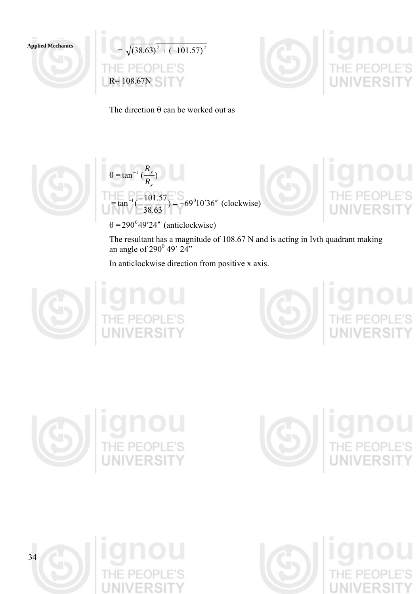

 $\sqrt{(38.63)^2 + (-101.57)^2}$  $=$ E'S R= 108.67N



The direction  $\theta$  can be worked out as





 $\theta$  = 290<sup>°</sup>49′24″ (anticlockwise)

The resultant has a magnitude of 108.67 N and is acting in Ivth quadrant making an angle of  $290^{\circ}$  49'  $24$ "

In anticlockwise direction from positive x axis.